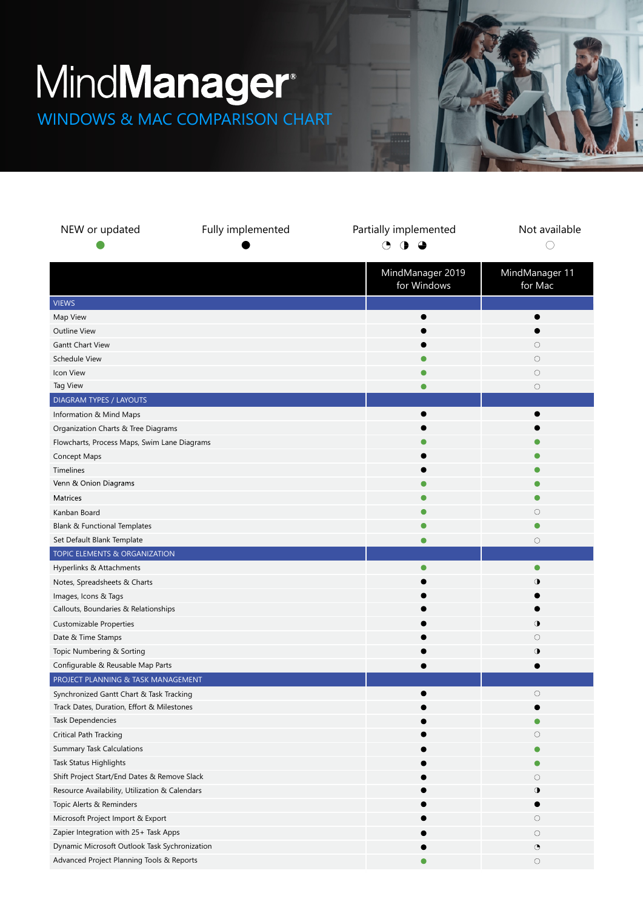## MindManager<sup>®</sup>

WINDOWS & MAC COMPARISON CHART



| NEW or updated                                 | Fully implemented | Partially implemented<br>◔<br>4 | Not available  |
|------------------------------------------------|-------------------|---------------------------------|----------------|
|                                                |                   |                                 |                |
|                                                |                   | MindManager 2019                | MindManager 11 |
|                                                |                   | for Windows                     | for Mac        |
| <b>VIEWS</b>                                   |                   |                                 |                |
| Map View                                       |                   |                                 |                |
| Outline View                                   |                   |                                 |                |
| <b>Gantt Chart View</b>                        |                   |                                 | 0              |
| <b>Schedule View</b>                           |                   |                                 | О              |
| Icon View                                      |                   |                                 | $\circ$        |
| Tag View                                       |                   |                                 | $\circ$        |
| DIAGRAM TYPES / LAYOUTS                        |                   |                                 |                |
| Information & Mind Maps                        |                   |                                 |                |
| Organization Charts & Tree Diagrams            |                   |                                 |                |
| Flowcharts, Process Maps, Swim Lane Diagrams   |                   |                                 |                |
| Concept Maps                                   |                   |                                 |                |
| Timelines                                      |                   |                                 |                |
| Venn & Onion Diagrams                          |                   |                                 |                |
| Matrices                                       |                   | O                               |                |
| Kanban Board                                   |                   |                                 | 0              |
| Blank & Functional Templates                   |                   |                                 |                |
| Set Default Blank Template                     |                   |                                 | 0              |
| TOPIC ELEMENTS & ORGANIZATION                  |                   |                                 |                |
| Hyperlinks & Attachments                       |                   | $\bullet$                       | $\bullet$      |
| Notes, Spreadsheets & Charts                   |                   |                                 | ◑              |
| Images, Icons & Tags                           |                   |                                 |                |
| Callouts, Boundaries & Relationships           |                   |                                 |                |
| Customizable Properties                        |                   |                                 | ◑              |
| Date & Time Stamps                             |                   |                                 | 0              |
| Topic Numbering & Sorting                      |                   |                                 | ◑              |
| Configurable & Reusable Map Parts              |                   |                                 |                |
| PROJECT PLANNING & TASK MANAGEMENT             |                   |                                 |                |
| Synchronized Gantt Chart & Task Tracking       |                   |                                 | 0              |
| Track Dates, Duration, Effort & Milestones     |                   |                                 |                |
| Task Dependencies                              |                   |                                 |                |
| Critical Path Tracking                         |                   |                                 | 0              |
| <b>Summary Task Calculations</b>               |                   |                                 |                |
| Task Status Highlights                         |                   |                                 |                |
| Shift Project Start/End Dates & Remove Slack   |                   |                                 | О              |
| Resource Availability, Utilization & Calendars |                   |                                 | ◑              |
| Topic Alerts & Reminders                       |                   |                                 |                |
| Microsoft Project Import & Export              |                   |                                 | О              |
| Zapier Integration with 25+ Task Apps          |                   |                                 | $\bigcirc$     |
| Dynamic Microsoft Outlook Task Sychronization  |                   |                                 | ◔              |
| Advanced Project Planning Tools & Reports      |                   | O                               | $\bigcirc$     |